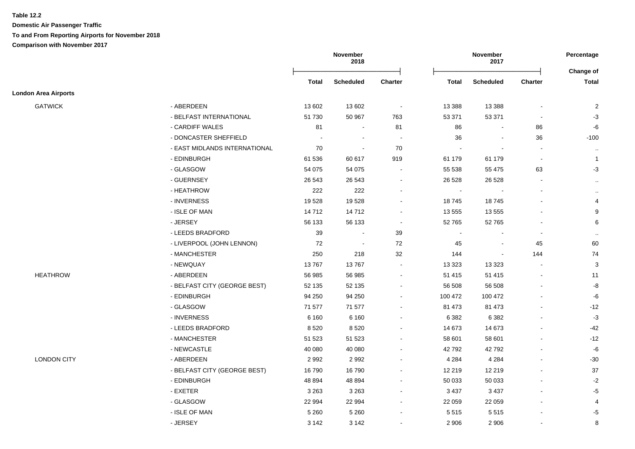**Domestic Air Passenger Traffic To and From Reporting Airports for November 2018 Comparison with November 2017**

|                             |                               |              | November<br>2018 |                          | November<br>2017 |                  | Percentage               |                           |
|-----------------------------|-------------------------------|--------------|------------------|--------------------------|------------------|------------------|--------------------------|---------------------------|
|                             |                               | <b>Total</b> | <b>Scheduled</b> | <b>Charter</b>           | <b>Total</b>     | <b>Scheduled</b> | <b>Charter</b>           | Change of<br><b>Total</b> |
| <b>London Area Airports</b> |                               |              |                  |                          |                  |                  |                          |                           |
| <b>GATWICK</b>              | - ABERDEEN                    | 13 602       | 13 602           | $\sim$                   | 13 3 88          | 13 3 8 8         |                          | $\overline{2}$            |
|                             | - BELFAST INTERNATIONAL       | 51 730       | 50 967           | 763                      | 53 371           | 53 371           |                          | $-3$                      |
|                             | - CARDIFF WALES               | 81           |                  | 81                       | 86               |                  | 86                       | -6                        |
|                             | - DONCASTER SHEFFIELD         |              |                  | $\overline{\phantom{a}}$ | 36               | $\blacksquare$   | 36                       | $-100$                    |
|                             | - EAST MIDLANDS INTERNATIONAL | 70           |                  | 70                       |                  | $\blacksquare$   |                          | $\sim$                    |
|                             | - EDINBURGH                   | 61 536       | 60 617           | 919                      | 61 179           | 61 179           | $\overline{\phantom{a}}$ | $\overline{1}$            |
|                             | - GLASGOW                     | 54 075       | 54 075           | $\sim$                   | 55 538           | 55 475           | 63                       | $-3$                      |
|                             | - GUERNSEY                    | 26 543       | 26 543           |                          | 26 5 28          | 26 5 28          | $\overline{\phantom{a}}$ | $\sim$                    |
|                             | - HEATHROW                    | 222          | 222              |                          | $\blacksquare$   |                  |                          | $\sim$                    |
|                             | - INVERNESS                   | 19528        | 19 528           | $\sim$                   | 18745            | 18745            |                          | 4                         |
|                             | - ISLE OF MAN                 | 14 7 12      | 14712            | $\sim$                   | 13 555           | 13 5 5 5         |                          | 9                         |
|                             | - JERSEY                      | 56 133       | 56 133           | $\blacksquare$           | 52765            | 52765            |                          | 6                         |
|                             | - LEEDS BRADFORD              | 39           | $\sim$           | 39                       | $\blacksquare$   | $\sim$           | $\sim$                   | $\sim$                    |
|                             | - LIVERPOOL (JOHN LENNON)     | 72           | $\sim$           | 72                       | 45               | $\sim$           | 45                       | 60                        |
|                             | - MANCHESTER                  | 250          | 218              | 32                       | 144              | $\blacksquare$   | 144                      | 74                        |
|                             | - NEWQUAY                     | 13767        | 13767            |                          | 13 3 23          | 13 3 23          |                          | 3                         |
| <b>HEATHROW</b>             | - ABERDEEN                    | 56 985       | 56 985           |                          | 51 415           | 51 415           |                          | 11                        |
|                             | - BELFAST CITY (GEORGE BEST)  | 52 135       | 52 135           |                          | 56 508           | 56 508           |                          | -8                        |
|                             | - EDINBURGH                   | 94 250       | 94 250           |                          | 100 472          | 100 472          |                          | -6                        |
|                             | - GLASGOW                     | 71 577       | 71 577           |                          | 81 473           | 81 473           |                          | $-12$                     |
|                             | - INVERNESS                   | 6 1 6 0      | 6 1 6 0          |                          | 6 3 8 2          | 6 3 8 2          |                          | $-3$                      |
|                             | - LEEDS BRADFORD              | 8520         | 8 5 20           |                          | 14 673           | 14 673           |                          | -42                       |
|                             | - MANCHESTER                  | 51 523       | 51 523           |                          | 58 601           | 58 601           |                          | $-12$                     |
|                             | - NEWCASTLE                   | 40 080       | 40 080           |                          | 42792            | 42792            |                          | -6                        |
| <b>LONDON CITY</b>          | - ABERDEEN                    | 2992         | 2 9 9 2          |                          | 4 2 8 4          | 4 2 8 4          |                          | $-30$                     |
|                             | - BELFAST CITY (GEORGE BEST)  | 16790        | 16790            |                          | 12 219           | 12 219           |                          | 37                        |
|                             | - EDINBURGH                   | 48 894       | 48 8 94          |                          | 50 033           | 50 033           |                          | $-2$                      |
|                             | - EXETER                      | 3 2 6 3      | 3 2 6 3          |                          | 3 4 3 7          | 3 4 3 7          |                          | $-5$                      |
|                             | - GLASGOW                     | 22 994       | 22 994           |                          | 22 059           | 22 059           |                          | 4                         |
|                             | - ISLE OF MAN                 | 5 2 6 0      | 5 2 6 0          |                          | 5515             | 5515             |                          | -5                        |
|                             | - JERSEY                      | 3 1 4 2      | 3 1 4 2          |                          | 2 9 0 6          | 2 9 0 6          |                          | 8                         |
|                             |                               |              |                  |                          |                  |                  |                          |                           |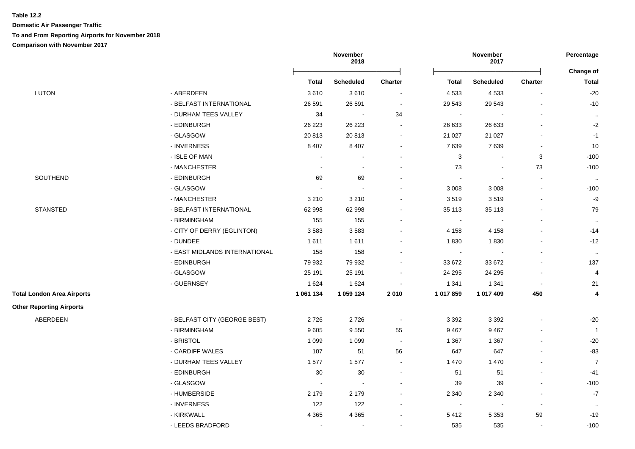**Domestic Air Passenger Traffic To and From Reporting Airports for November 2018 Comparison with November 2017**

|                                   |                               |              | November<br>2018 | November<br>2017         |                |                  | Percentage               |                   |
|-----------------------------------|-------------------------------|--------------|------------------|--------------------------|----------------|------------------|--------------------------|-------------------|
|                                   |                               |              |                  |                          |                |                  |                          | Change of         |
|                                   |                               | <b>Total</b> | <b>Scheduled</b> | Charter                  | <b>Total</b>   | <b>Scheduled</b> | <b>Charter</b>           | <b>Total</b>      |
| LUTON                             | - ABERDEEN                    | 3610         | 3610             | $\blacksquare$           | 4533           | 4533             | $\blacksquare$           | $-20$             |
|                                   | - BELFAST INTERNATIONAL       | 26 591       | 26 591           | $\blacksquare$           | 29 543         | 29 543           |                          | $-10$             |
|                                   | - DURHAM TEES VALLEY          | 34           | $\sim$           | 34                       | $\blacksquare$ |                  |                          | $\sim$            |
|                                   | - EDINBURGH                   | 26 223       | 26 223           | $\sim$                   | 26 633         | 26 633           |                          | $-2$              |
|                                   | - GLASGOW                     | 20813        | 20 813           | $\sim$                   | 21 0 27        | 21 0 27          |                          | $-1$              |
|                                   | - INVERNESS                   | 8 4 0 7      | 8 4 0 7          | $\blacksquare$           | 7639           | 7639             |                          | 10                |
|                                   | - ISLE OF MAN                 | $\sim$       | $\blacksquare$   |                          | $\sqrt{3}$     |                  | 3                        | $-100$            |
|                                   | - MANCHESTER                  | $\sim$       | $\sim$           |                          | 73             |                  | 73                       | $-100$            |
| SOUTHEND                          | - EDINBURGH                   | 69           | 69               |                          | $\blacksquare$ |                  |                          | $\sim$            |
|                                   | - GLASGOW                     |              |                  |                          | 3 0 0 8        | 3 0 0 8          |                          | $-100$            |
|                                   | - MANCHESTER                  | 3 2 1 0      | 3 2 1 0          |                          | 3519           | 3519             | $\ddot{\phantom{a}}$     | $-9$              |
| <b>STANSTED</b>                   | - BELFAST INTERNATIONAL       | 62 998       | 62 998           | $\sim$                   | 35 113         | 35 113           |                          | 79                |
|                                   | - BIRMINGHAM                  | 155          | 155              | $\sim$                   | $\blacksquare$ |                  |                          | $\sim$            |
|                                   | - CITY OF DERRY (EGLINTON)    | 3583         | 3583             |                          | 4 1 5 8        | 4 1 5 8          |                          | $-14$             |
|                                   | - DUNDEE                      | 1611         | 1611             |                          | 1830           | 1830             | $\blacksquare$           | $-12$             |
|                                   | - EAST MIDLANDS INTERNATIONAL | 158          | 158              | $\overline{\phantom{a}}$ | $\sim$         |                  | $\blacksquare$           | $\sim$            |
|                                   | - EDINBURGH                   | 79 932       | 79 932           | $\sim$                   | 33 672         | 33 672           |                          | 137               |
|                                   | - GLASGOW                     | 25 191       | 25 191           | $\sim$                   | 24 29 5        | 24 295           | $\blacksquare$           | 4                 |
|                                   | - GUERNSEY                    | 1 6 2 4      | 1 6 2 4          | $\blacksquare$           | 1 3 4 1        | 1 3 4 1          | $\overline{\phantom{a}}$ | 21                |
| <b>Total London Area Airports</b> |                               | 1 061 134    | 1 059 124        | 2010                     | 1 017 859      | 1 017 409        | 450                      | 4                 |
| <b>Other Reporting Airports</b>   |                               |              |                  |                          |                |                  |                          |                   |
| ABERDEEN                          | - BELFAST CITY (GEORGE BEST)  | 2726         | 2726             | $\blacksquare$           | 3 3 9 2        | 3 3 9 2          |                          | $-20$             |
|                                   | - BIRMINGHAM                  | 9605         | 9 5 5 0          | 55                       | 9467           | 9467             |                          | $\overline{1}$    |
|                                   | - BRISTOL                     | 1 0 9 9      | 1 0 9 9          | $\sim$                   | 1 3 6 7        | 1 3 6 7          |                          | $-20$             |
|                                   | - CARDIFF WALES               | 107          | 51               | 56                       | 647            | 647              | $\overline{a}$           | $-83$             |
|                                   | - DURHAM TEES VALLEY          | 1577         | 1577             | $\blacksquare$           | 1 4 7 0        | 1 4 7 0          | $\blacksquare$           | $\overline{7}$    |
|                                   | - EDINBURGH                   | 30           | $30\,$           | $\sim$                   | 51             | 51               | $\blacksquare$           | $-41$             |
|                                   | - GLASGOW                     | $\sim$       | $\blacksquare$   | $\sim$                   | 39             | 39               | $\mathbf{r}$             | $-100$            |
|                                   | - HUMBERSIDE                  | 2 1 7 9      | 2 1 7 9          |                          | 2 3 4 0        | 2 3 4 0          |                          | $\textnormal{-}7$ |
|                                   | - INVERNESS                   | 122          | 122              | $\overline{\phantom{a}}$ | $\sim$         |                  | $\overline{\phantom{a}}$ | $\ldots$          |
|                                   | - KIRKWALL                    | 4 3 6 5      | 4 3 6 5          |                          | 5412           | 5 3 5 3          | 59                       | $-19$             |
|                                   | - LEEDS BRADFORD              |              | $\blacksquare$   |                          | 535            | 535              |                          | $-100$            |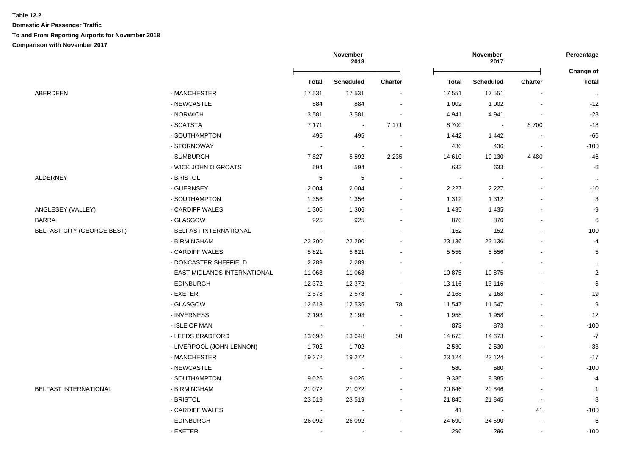**Domestic Air Passenger Traffic**

# **To and From Reporting Airports for November 2018**

**Comparison with November 2017**

|                                   |                               | November<br>2018 |                          |                | Percentage<br>Change of |                  |                          |                |
|-----------------------------------|-------------------------------|------------------|--------------------------|----------------|-------------------------|------------------|--------------------------|----------------|
|                                   |                               | <b>Total</b>     | <b>Scheduled</b>         | <b>Charter</b> | <b>Total</b>            | <b>Scheduled</b> | <b>Charter</b>           | <b>Total</b>   |
| ABERDEEN                          | - MANCHESTER                  | 17531            | 17 531                   |                | 17 551                  | 17 551           |                          | $\sim$         |
|                                   | - NEWCASTLE                   | 884              | 884                      |                | 1 0 0 2                 | 1 0 0 2          |                          | $-12$          |
|                                   | - NORWICH                     | 3581             | 3581                     |                | 4941                    | 4 9 4 1          |                          | $-28$          |
|                                   | - SCATSTA                     | 7 1 7 1          | $\sim$                   | 7 1 7 1        | 8700                    |                  | 8700                     | $-18$          |
|                                   | - SOUTHAMPTON                 | 495              | 495                      |                | 1442                    | 1442             |                          | $-66$          |
|                                   | - STORNOWAY                   |                  | $\overline{\phantom{a}}$ |                | 436                     | 436              |                          | $-100$         |
|                                   | - SUMBURGH                    | 7827             | 5 5 9 2                  | 2 2 3 5        | 14 610                  | 10 130           | 4 4 8 0                  | $-46$          |
|                                   | - WICK JOHN O GROATS          | 594              | 594                      |                | 633                     | 633              |                          | -6             |
| ALDERNEY                          | - BRISTOL                     | 5                | 5                        |                |                         |                  |                          | $\sim$         |
|                                   | - GUERNSEY                    | 2 0 0 4          | 2 0 0 4                  |                | 2 2 2 7                 | 2 2 2 7          |                          | $-10$          |
|                                   | - SOUTHAMPTON                 | 1 3 5 6          | 1 3 5 6                  |                | 1 3 1 2                 | 1 3 1 2          |                          | 3              |
| ANGLESEY (VALLEY)                 | - CARDIFF WALES               | 1 3 0 6          | 1 3 0 6                  |                | 1 4 3 5                 | 1 4 3 5          |                          | $-9$           |
| BARRA                             | - GLASGOW                     | 925              | 925                      |                | 876                     | 876              |                          | $\,6\,$        |
| <b>BELFAST CITY (GEORGE BEST)</b> | - BELFAST INTERNATIONAL       | $\sim$           |                          |                | 152                     | 152              |                          | $-100$         |
|                                   | - BIRMINGHAM                  | 22 200           | 22 200                   |                | 23 136                  | 23 136           |                          | $-4$           |
|                                   | - CARDIFF WALES               | 5821             | 5821                     |                | 5 5 5 6                 | 5 5 5 6          |                          | 5              |
|                                   | - DONCASTER SHEFFIELD         | 2 2 8 9          | 2 2 8 9                  |                |                         | $\sim$           |                          |                |
|                                   | - EAST MIDLANDS INTERNATIONAL | 11 068           | 11 068                   |                | 10875                   | 10875            |                          | $\mathbf{2}$   |
|                                   | - EDINBURGH                   | 12 372           | 12 372                   |                | 13 116                  | 13 116           |                          | $-6$           |
|                                   | - EXETER                      | 2578             | 2578                     |                | 2 1 6 8                 | 2 1 6 8          |                          | 19             |
|                                   | - GLASGOW                     | 12613            | 12 5 35                  | 78             | 11 547                  | 11 547           |                          | 9              |
|                                   | - INVERNESS                   | 2 1 9 3          | 2 1 9 3                  |                | 1958                    | 1958             |                          | 12             |
|                                   | - ISLE OF MAN                 |                  |                          |                | 873                     | 873              |                          | $-100$         |
|                                   | - LEEDS BRADFORD              | 13 698           | 13 648                   | 50             | 14 673                  | 14 673           |                          | $-7$           |
|                                   | - LIVERPOOL (JOHN LENNON)     | 1702             | 1702                     |                | 2 5 3 0                 | 2 5 3 0          |                          | $-33$          |
|                                   | - MANCHESTER                  | 19 27 2          | 19 27 2                  |                | 23 1 24                 | 23 1 24          |                          | $-17$          |
|                                   | - NEWCASTLE                   |                  |                          |                | 580                     | 580              |                          | $-100$         |
|                                   | - SOUTHAMPTON                 | 9026             | 9 0 26                   |                | 9 3 8 5                 | 9 3 8 5          |                          | $-4$           |
| <b>BELFAST INTERNATIONAL</b>      | - BIRMINGHAM                  | 21 072           | 21 072                   |                | 20 846                  | 20 846           |                          | $\overline{1}$ |
|                                   | - BRISTOL                     | 23 5 19          | 23 519                   |                | 21 845                  | 21 845           | $\overline{\phantom{a}}$ | 8              |
|                                   | - CARDIFF WALES               |                  |                          |                | 41                      | $\blacksquare$   | 41                       | $-100$         |
|                                   | - EDINBURGH                   | 26 092           | 26 092                   |                | 24 690                  | 24 690           | $\overline{\phantom{a}}$ | 6              |
|                                   | - EXETER                      |                  |                          |                | 296                     | 296              | $\blacksquare$           | $-100$         |
|                                   |                               |                  |                          |                |                         |                  |                          |                |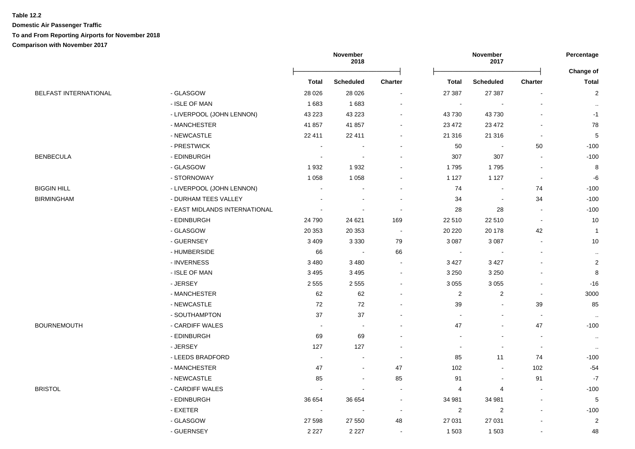**Domestic Air Passenger Traffic To and From Reporting Airports for November 2018**

**Comparison with November 2017**

|                              |                               | November<br>2018         |                  |         | Percentage               |                          |                |                           |
|------------------------------|-------------------------------|--------------------------|------------------|---------|--------------------------|--------------------------|----------------|---------------------------|
|                              |                               |                          |                  | Charter |                          |                          | Charter        | Change of<br><b>Total</b> |
| <b>BELFAST INTERNATIONAL</b> | - GLASGOW                     | <b>Total</b>             | <b>Scheduled</b> |         | <b>Total</b><br>27 387   | <b>Scheduled</b>         |                |                           |
|                              | - ISLE OF MAN                 | 28 0 26<br>1683          | 28 0 26<br>1683  |         |                          | 27 387                   |                | $\overline{c}$            |
|                              |                               |                          |                  |         | $\overline{\phantom{a}}$ |                          |                |                           |
|                              | - LIVERPOOL (JOHN LENNON)     | 43 2 23                  | 43 223           |         | 43730                    | 43 730                   |                | $-1$                      |
|                              | - MANCHESTER                  | 41 857                   | 41 857           |         | 23 4 72                  | 23 4 72                  |                | 78                        |
|                              | - NEWCASTLE                   | 22 411                   | 22 411           |         | 21 316                   | 21 316                   |                | $\,$ 5 $\,$               |
|                              | - PRESTWICK                   | $\sim$                   |                  |         | $50\,$                   | $\sim$                   | 50             | $-100$                    |
| <b>BENBECULA</b>             | - EDINBURGH                   |                          |                  |         | 307                      | 307                      |                | $-100$                    |
|                              | - GLASGOW                     | 1932                     | 1932             |         | 1795                     | 1795                     |                | 8                         |
|                              | - STORNOWAY                   | 1 0 5 8                  | 1 0 5 8          |         | 1 1 2 7                  | 1 1 2 7                  | $\blacksquare$ | -6                        |
| <b>BIGGIN HILL</b>           | - LIVERPOOL (JOHN LENNON)     |                          |                  |         | 74                       |                          | 74             | $-100$                    |
| BIRMINGHAM                   | - DURHAM TEES VALLEY          |                          |                  |         | 34                       | $\blacksquare$           | 34             | $-100$                    |
|                              | - EAST MIDLANDS INTERNATIONAL |                          |                  |         | 28                       | 28                       |                | $-100$                    |
|                              | - EDINBURGH                   | 24 790                   | 24 621           | 169     | 22 510                   | 22 510                   | $\blacksquare$ | 10                        |
|                              | - GLASGOW                     | 20 353                   | 20 353           |         | 20 220                   | 20 178                   | 42             | $\overline{1}$            |
|                              | - GUERNSEY                    | 3 4 0 9                  | 3 3 3 0          | 79      | 3 0 8 7                  | 3 0 8 7                  |                | 10                        |
|                              | - HUMBERSIDE                  | 66                       | $\sim$           | 66      | $\overline{\phantom{a}}$ | $\overline{\phantom{a}}$ |                | $\cdot$                   |
|                              | - INVERNESS                   | 3 4 8 0                  | 3 4 8 0          |         | 3 4 2 7                  | 3 4 2 7                  |                | $\boldsymbol{2}$          |
|                              | - ISLE OF MAN                 | 3 4 9 5                  | 3 4 9 5          |         | 3 2 5 0                  | 3 2 5 0                  |                | 8                         |
|                              | - JERSEY                      | 2 5 5 5                  | 2 5 5 5          |         | 3 0 5 5                  | 3 0 5 5                  |                | $-16$                     |
|                              | - MANCHESTER                  | 62                       | 62               |         | $\boldsymbol{2}$         | $\overline{c}$           | $\blacksquare$ | 3000                      |
|                              | - NEWCASTLE                   | 72                       | $72\,$           |         | 39                       |                          | 39             | 85                        |
|                              | - SOUTHAMPTON                 | 37                       | 37               |         | $\blacksquare$           |                          | $\overline{a}$ | $\cdot$ .                 |
| BOURNEMOUTH                  | - CARDIFF WALES               | $\sim$                   |                  |         | 47                       |                          | 47             | $-100$                    |
|                              | - EDINBURGH                   | 69                       | 69               |         |                          |                          |                | $\cdot$ .                 |
|                              | - JERSEY                      | 127                      | 127              |         |                          |                          |                | $\cdot$ .                 |
|                              | - LEEDS BRADFORD              |                          |                  |         | 85                       | 11                       | 74             | $-100$                    |
|                              | - MANCHESTER                  | 47                       |                  | $47\,$  | 102                      |                          | 102            | -54                       |
|                              | - NEWCASTLE                   | 85                       |                  | 85      | 91                       |                          | 91             | $-7$                      |
| BRISTOL                      | - CARDIFF WALES               |                          |                  |         | 4                        | 4                        |                | $-100$                    |
|                              | - EDINBURGH                   | 36 654                   | 36 654           |         | 34 981                   | 34 981                   |                | $\sqrt{5}$                |
|                              | - EXETER                      | $\overline{\phantom{a}}$ |                  |         | $\overline{\mathbf{c}}$  | $\overline{c}$           |                | $-100$                    |
|                              | - GLASGOW                     | 27 598                   | 27 550           | 48      | 27 031                   | 27 031                   |                | $\overline{2}$            |
|                              | - GUERNSEY                    | 2 2 2 7                  | 2 2 2 7          |         | 1 503                    | 1 503                    |                | 48                        |
|                              |                               |                          |                  |         |                          |                          |                |                           |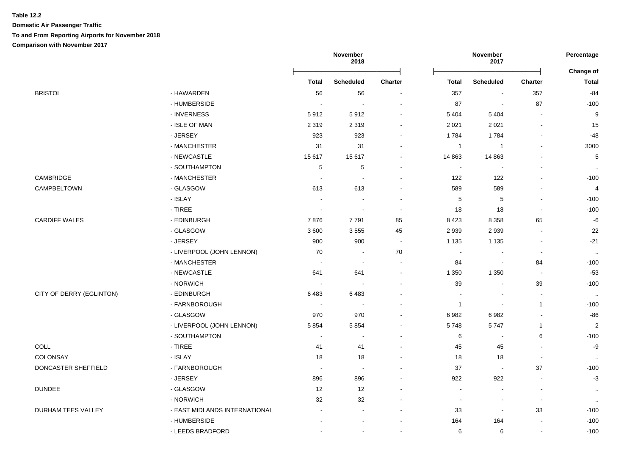## **Table 12.2 Domestic Air Passenger Traffic To and From Reporting Airports for November 2018 Comparison with November 2017**

|                          |                               |                             | November<br>2018 |                          | November<br>2017 |                          | Percentage       |                         |
|--------------------------|-------------------------------|-----------------------------|------------------|--------------------------|------------------|--------------------------|------------------|-------------------------|
|                          |                               |                             |                  |                          |                  |                          | <b>Change of</b> |                         |
|                          |                               | <b>Total</b>                | <b>Scheduled</b> | <b>Charter</b>           | <b>Total</b>     | <b>Scheduled</b>         | Charter          | <b>Total</b>            |
| <b>BRISTOL</b>           | - HAWARDEN                    | 56                          | 56               | $\overline{\phantom{a}}$ | 357              | $\overline{\phantom{a}}$ | 357              | $-84$                   |
|                          | - HUMBERSIDE                  |                             | $\sim$           |                          | 87               | ÷,                       | 87               | $-100$                  |
|                          | - INVERNESS                   | 5912                        | 5912             |                          | 5 4 0 4          | 5 4 0 4                  |                  | $9\,$                   |
|                          | - ISLE OF MAN                 | 2 3 1 9                     | 2 3 1 9          | $\blacksquare$           | 2 0 2 1          | 2 0 2 1                  |                  | 15                      |
|                          | - JERSEY                      | 923                         | 923              |                          | 1784             | 1784                     |                  | $-48$                   |
|                          | - MANCHESTER                  | 31                          | 31               |                          | $\overline{1}$   | $\overline{1}$           |                  | 3000                    |
|                          | - NEWCASTLE                   | 15 617                      | 15 617           | $\blacksquare$           | 14 863           | 14 8 63                  |                  | $\mathbf 5$             |
|                          | - SOUTHAMPTON                 | $\,$ 5 $\,$                 | $\mathbf 5$      | $\overline{\phantom{a}}$ | $\blacksquare$   |                          |                  | $\sim$                  |
| CAMBRIDGE                | - MANCHESTER                  | $\overline{\phantom{a}}$    |                  | $\blacksquare$           | 122              | 122                      |                  | $-100$                  |
| CAMPBELTOWN              | - GLASGOW                     | 613                         | 613              | $\blacksquare$           | 589              | 589                      |                  | $\overline{\mathbf{4}}$ |
|                          | - ISLAY                       | $\overline{\phantom{a}}$    | $\sim$           | $\overline{\phantom{a}}$ | $\sqrt{5}$       | $\mathbf 5$              |                  | $-100$                  |
|                          | - TIREE                       | $\blacksquare$              | $\sim$           | $\blacksquare$           | 18               | 18                       |                  | $-100$                  |
| <b>CARDIFF WALES</b>     | - EDINBURGH                   | 7876                        | 7791             | 85                       | 8423             | 8 3 5 8                  | 65               | $-6$                    |
|                          | - GLASGOW                     | 3600                        | 3555             | 45                       | 2939             | 2939                     |                  | 22                      |
|                          | - JERSEY                      | 900                         | 900              | $\sim$                   | 1 1 3 5          | 1 1 3 5                  |                  | $-21$                   |
|                          | - LIVERPOOL (JOHN LENNON)     | 70                          |                  | 70                       |                  |                          |                  | $\sim$                  |
|                          | - MANCHESTER                  |                             |                  | $\overline{\phantom{a}}$ | 84               |                          | 84               | $-100$                  |
|                          | - NEWCASTLE                   | 641                         | 641              | $\blacksquare$           | 1 3 5 0          | 1 3 5 0                  | $\sim$           | $-53$                   |
|                          | - NORWICH                     | $\overline{\phantom{a}}$    |                  |                          | 39               | ÷,                       | 39               | $-100$                  |
| CITY OF DERRY (EGLINTON) | - EDINBURGH                   | 6483                        | 6483             |                          |                  | $\overline{\phantom{a}}$ |                  | $\sim$                  |
|                          | - FARNBOROUGH                 |                             |                  |                          | $\overline{1}$   | $\overline{\phantom{a}}$ | $\overline{1}$   | $-100$                  |
|                          | - GLASGOW                     | 970                         | 970              |                          | 6982             | 6982                     |                  | $-86$                   |
|                          | - LIVERPOOL (JOHN LENNON)     | 5854                        | 5 8 5 4          |                          | 5748             | 5747                     | $\overline{1}$   | $\sqrt{2}$              |
|                          | - SOUTHAMPTON                 | $\sim$                      |                  | $\sim$                   | 6                |                          | 6                | $-100$                  |
| COLL                     | $-$ TIREE                     | 41                          | 41               | $\blacksquare$           | 45               | 45                       |                  | $-9$                    |
| COLONSAY                 | - ISLAY                       | 18                          | $18$             | $\blacksquare$           | 18               | 18                       |                  | $\ddot{\phantom{a}}$    |
| DONCASTER SHEFFIELD      | - FARNBOROUGH                 | $\mathcal{L}_{\mathcal{A}}$ | $\sim$           | $\sim$                   | 37               | $\blacksquare$           | 37               | $-100$                  |
|                          | - JERSEY                      | 896                         | 896              |                          | 922              | 922                      |                  | $-3$                    |
| <b>DUNDEE</b>            | - GLASGOW                     | 12                          | 12               |                          | $\blacksquare$   | $\overline{\phantom{a}}$ |                  | $\cdot$ .               |
|                          | - NORWICH                     | 32                          | 32               |                          | $\blacksquare$   | $\overline{\phantom{a}}$ |                  | $\cdot$                 |
| DURHAM TEES VALLEY       | - EAST MIDLANDS INTERNATIONAL |                             |                  |                          | 33               | $\overline{\phantom{a}}$ | 33               | $-100$                  |
|                          | - HUMBERSIDE                  |                             |                  |                          | 164              | 164                      |                  | $-100$                  |
|                          | - LEEDS BRADFORD              |                             |                  |                          | 6                | 6                        |                  | $-100$                  |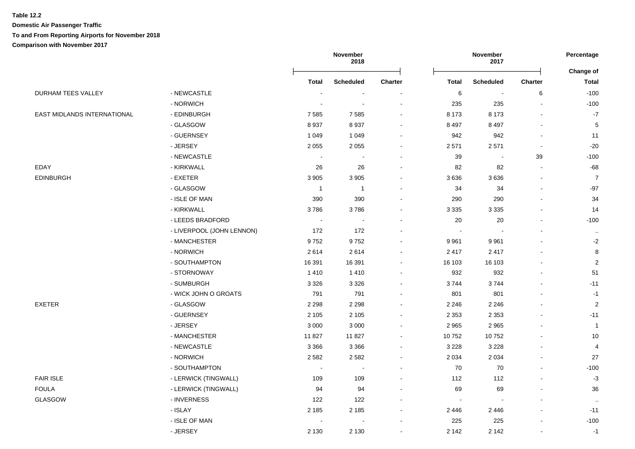**Domestic Air Passenger Traffic To and From Reporting Airports for November 2018**

# **Comparison with November 2017**

|                             |                           |                          | November<br>2018         |                          |              | Percentage       |                |                |
|-----------------------------|---------------------------|--------------------------|--------------------------|--------------------------|--------------|------------------|----------------|----------------|
|                             |                           |                          |                          |                          |              |                  |                | Change of      |
|                             |                           | <b>Total</b>             | <b>Scheduled</b>         | Charter                  | <b>Total</b> | <b>Scheduled</b> | <b>Charter</b> | <b>Total</b>   |
| DURHAM TEES VALLEY          | - NEWCASTLE               | $\overline{\phantom{a}}$ | $\overline{\phantom{a}}$ | $\overline{\phantom{a}}$ | $\,6$        | $\blacksquare$   | 6              | $-100$         |
|                             | - NORWICH                 |                          |                          |                          | 235          | 235              | $\sim$         | $-100$         |
| EAST MIDLANDS INTERNATIONAL | - EDINBURGH               | 7585                     | 7 5 8 5                  |                          | 8 1 7 3      | 8 1 7 3          |                | $-7$           |
|                             | - GLASGOW                 | 8937                     | 8 9 3 7                  |                          | 8 4 9 7      | 8 4 9 7          |                | $\,$ 5 $\,$    |
|                             | - GUERNSEY                | 1 0 4 9                  | 1 0 4 9                  |                          | 942          | 942              |                | 11             |
|                             | - JERSEY                  | 2 0 5 5                  | 2 0 5 5                  |                          | 2571         | 2571             | $\blacksquare$ | $-20$          |
|                             | - NEWCASTLE               | $\sim$                   |                          |                          | 39           | $\blacksquare$   | 39             | $-100$         |
| <b>EDAY</b>                 | - KIRKWALL                | 26                       | 26                       |                          | 82           | 82               | $\blacksquare$ | $-68$          |
| <b>EDINBURGH</b>            | - EXETER                  | 3 9 0 5                  | 3 9 0 5                  |                          | 3636         | 3636             | $\overline{a}$ | $\overline{7}$ |
|                             | - GLASGOW                 | $\overline{1}$           | $\mathbf{1}$             |                          | 34           | 34               | $\sim$         | $-97$          |
|                             | - ISLE OF MAN             | 390                      | 390                      |                          | 290          | 290              |                | 34             |
|                             | - KIRKWALL                | 3786                     | 3786                     |                          | 3 3 3 5      | 3 3 3 5          |                | 14             |
|                             | - LEEDS BRADFORD          | $\blacksquare$           | $\blacksquare$           |                          | 20           | $20\,$           |                | $-100$         |
|                             | - LIVERPOOL (JOHN LENNON) | 172                      | 172                      |                          | $\sim$       | $\sim$           |                | $\ddotsc$      |
|                             | - MANCHESTER              | 9752                     | 9752                     |                          | 9961         | 9961             |                | $-2$           |
|                             | - NORWICH                 | 2614                     | 2614                     |                          | 2417         | 2417             |                | 8              |
|                             | - SOUTHAMPTON             | 16 391                   | 16 391                   |                          | 16 103       | 16 103           |                | $\overline{2}$ |
|                             | - STORNOWAY               | 1410                     | 1 4 1 0                  |                          | 932          | 932              |                | 51             |
|                             | - SUMBURGH                | 3 3 2 6                  | 3 3 2 6                  |                          | 3744         | 3744             |                | $-11$          |
|                             | - WICK JOHN O GROATS      | 791                      | 791                      |                          | 801          | 801              |                | $-1$           |
| <b>EXETER</b>               | - GLASGOW                 | 2 2 9 8                  | 2 2 9 8                  |                          | 2 2 4 6      | 2 2 4 6          |                | $\overline{2}$ |
|                             | - GUERNSEY                | 2 1 0 5                  | 2 1 0 5                  |                          | 2 3 5 3      | 2 3 5 3          |                | $-11$          |
|                             | - JERSEY                  | 3 0 0 0                  | 3 0 0 0                  |                          | 2965         | 2 9 6 5          |                | $\overline{1}$ |
|                             | - MANCHESTER              | 11827                    | 11 827                   |                          | 10752        | 10752            |                | 10             |
|                             | - NEWCASTLE               | 3 3 6 6                  | 3 3 6 6                  |                          | 3 2 2 8      | 3 2 2 8          |                | $\overline{4}$ |
|                             | - NORWICH                 | 2 5 8 2                  | 2 5 8 2                  |                          | 2 0 3 4      | 2 0 3 4          |                | 27             |
|                             | - SOUTHAMPTON             | $\overline{\phantom{a}}$ |                          |                          | 70           | 70               |                | $-100$         |
| <b>FAIR ISLE</b>            | - LERWICK (TINGWALL)      | 109                      | 109                      |                          | 112          | 112              |                | $-3$           |
| <b>FOULA</b>                | - LERWICK (TINGWALL)      | 94                       | 94                       |                          | 69           | 69               |                | 36             |
| GLASGOW                     | - INVERNESS               | 122                      | 122                      |                          |              | ÷,               |                | $\cdot$ .      |
|                             | - ISLAY                   | 2 1 8 5                  | 2 1 8 5                  |                          | 2446         | 2446             |                | $-11$          |
|                             | - ISLE OF MAN             |                          |                          |                          | 225          | 225              |                | $-100$         |
|                             | - JERSEY                  | 2 1 3 0                  | 2 1 3 0                  |                          | 2 1 4 2      | 2 1 4 2          | $\blacksquare$ | $-1$           |
|                             |                           |                          |                          |                          |              |                  |                |                |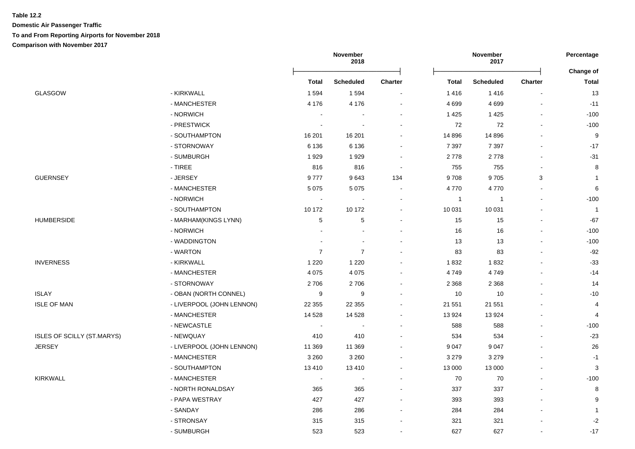## **Table 12.2 Domestic Air Passenger Traffic To and From Reporting Airports for November 2018 Comparison with November 2017**

|                                   |                           |                       | November<br>November<br>2018<br>2017 |                |              | Percentage       |                |                |
|-----------------------------------|---------------------------|-----------------------|--------------------------------------|----------------|--------------|------------------|----------------|----------------|
|                                   |                           |                       |                                      |                |              |                  |                | Change of      |
|                                   |                           | <b>Total</b>          | Scheduled                            | <b>Charter</b> | Total        | <b>Scheduled</b> | <b>Charter</b> | Total          |
| <b>GLASGOW</b>                    | - KIRKWALL                | 1594                  | 1 5 9 4                              |                | 1416         | 1416             |                | 13             |
|                                   | - MANCHESTER              | 4 1 7 6               | 4 1 7 6                              |                | 4699         | 4699             |                | $-11$          |
|                                   | - NORWICH                 | $\overline{a}$        |                                      |                | 1425         | 1425             |                | $-100$         |
|                                   | - PRESTWICK               |                       |                                      |                | 72           | 72               |                | $-100$         |
|                                   | - SOUTHAMPTON             | 16 201                | 16 201                               |                | 14 8 96      | 14 8 96          |                | 9              |
|                                   | - STORNOWAY               | 6 1 3 6               | 6 1 3 6                              |                | 7 3 9 7      | 7 3 9 7          | $\blacksquare$ | $-17$          |
|                                   | - SUMBURGH                | 1929                  | 1929                                 |                | 2778         | 2778             | $\blacksquare$ | $-31$          |
|                                   | $-$ TIREE                 | 816                   | 816                                  |                | 755          | 755              |                | 8              |
| <b>GUERNSEY</b>                   | - JERSEY                  | 9777                  | 9643                                 | 134            | 9708         | 9705             | 3              | $\mathbf{1}$   |
|                                   | - MANCHESTER              | 5 0 7 5               | 5 0 7 5                              | $\sim$         | 4770         | 4770             |                | 6              |
|                                   | - NORWICH                 | $\tilde{\phantom{a}}$ | $\blacksquare$                       | $\sim$         | $\mathbf{1}$ | $\overline{1}$   | ä,             | $-100$         |
|                                   | - SOUTHAMPTON             | 10 172                | 10 172                               | $\sim$         | 10 031       | 10 031           | $\blacksquare$ | $\overline{1}$ |
| <b>HUMBERSIDE</b>                 | - MARHAM(KINGS LYNN)      | 5                     | $\,$ 5 $\,$                          |                | 15           | 15               | $\blacksquare$ | $-67$          |
|                                   | - NORWICH                 |                       | $\overline{a}$                       |                | 16           | 16               | $\overline{a}$ | $-100$         |
|                                   | - WADDINGTON              |                       | $\blacksquare$                       |                | 13           | 13               |                | $-100$         |
|                                   | - WARTON                  | $\overline{7}$        | $\overline{7}$                       |                | 83           | 83               |                | $-92$          |
| <b>INVERNESS</b>                  | - KIRKWALL                | 1 2 2 0               | 1 2 2 0                              |                | 1832         | 1832             |                | $-33$          |
|                                   | - MANCHESTER              | 4 0 7 5               | 4 0 7 5                              |                | 4749         | 4749             |                | $-14$          |
|                                   | - STORNOWAY               | 2706                  | 2706                                 |                | 2 3 6 8      | 2 3 6 8          |                | 14             |
| <b>ISLAY</b>                      | - OBAN (NORTH CONNEL)     | 9                     | 9                                    |                | 10           | 10               |                | $-10$          |
| <b>ISLE OF MAN</b>                | - LIVERPOOL (JOHN LENNON) | 22 3 55               | 22 355                               |                | 21 551       | 21 551           |                | 4              |
|                                   | - MANCHESTER              | 14 5 28               | 14 5 28                              |                | 13924        | 13924            |                | $\overline{4}$ |
|                                   | - NEWCASTLE               | $\sim$                | $\sim$                               |                | 588          | 588              | $\blacksquare$ | $-100$         |
| <b>ISLES OF SCILLY (ST.MARYS)</b> | - NEWQUAY                 | 410                   | 410                                  |                | 534          | 534              | $\blacksquare$ | $-23$          |
| <b>JERSEY</b>                     | - LIVERPOOL (JOHN LENNON) | 11 369                | 11 369                               |                | 9047         | 9 0 4 7          |                | 26             |
|                                   | - MANCHESTER              | 3 2 6 0               | 3 2 6 0                              |                | 3 2 7 9      | 3 2 7 9          |                | $-1$           |
|                                   | - SOUTHAMPTON             | 13410                 | 13 4 10                              | $\sim$         | 13 000       | 13 000           |                | 3              |
| <b>KIRKWALL</b>                   | - MANCHESTER              | $\sim$                | $\sim$                               | $\sim$         | 70           | 70               | $\overline{a}$ | $-100$         |
|                                   | - NORTH RONALDSAY         | 365                   | 365                                  |                | 337          | 337              | $\overline{a}$ | 8              |
|                                   | - PAPA WESTRAY            | 427                   | 427                                  | $\sim$         | 393          | 393              | $\blacksquare$ | 9              |
|                                   | - SANDAY                  | 286                   | 286                                  |                | 284          | 284              | $\blacksquare$ | $\overline{1}$ |
|                                   | - STRONSAY                | 315                   | 315                                  |                | 321          | 321              |                | $-2$           |
|                                   | - SUMBURGH                | 523                   | 523                                  |                | 627          | 627              | $\sim$         | $-17$          |